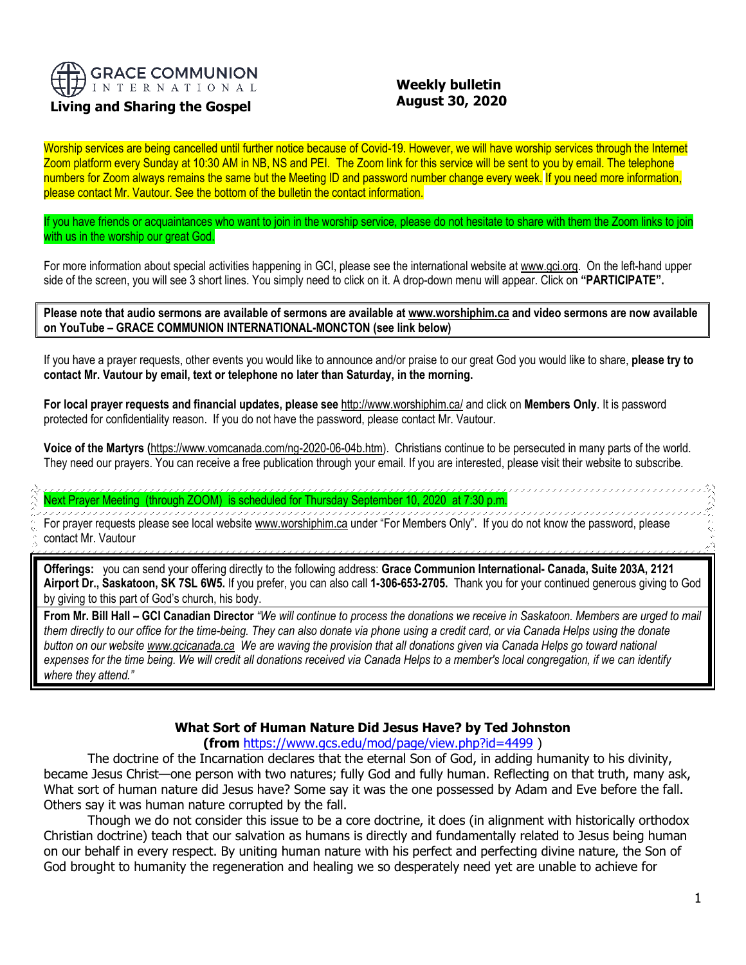

## **Living and Sharing the Gospel**

## **Weekly bulletin August 30, 2020**

Worship services are being cancelled until further notice because of Covid-19. However, we will have worship services through the Internet Zoom platform every Sunday at 10:30 AM in NB, NS and PEI. The Zoom link for this service will be sent to you by email. The telephone numbers for Zoom always remains the same but the Meeting ID and password number change every week. If you need more information, please contact Mr. Vautour. See the bottom of the bulletin the contact information.

If you have friends or acquaintances who want to join in the worship service, please do not hesitate to share with them the Zoom links to join with us in the worship our great God.

For more information about special activities happening in GCI, please see the international website a[t www.gci.org.](http://www.gci.org/) On the left-hand upper side of the screen, you will see 3 short lines. You simply need to click on it. A drop-down menu will appear. Click on **"PARTICIPATE".** 

**Please note that audio sermons are available of sermons are available at [www.worshiphim.ca](http://www.worshiphim.ca/) and video sermons are now available on YouTube – GRACE COMMUNION INTERNATIONAL-MONCTON (see link below)**

If you have a prayer requests, other events you would like to announce and/or praise to our great God you would like to share, **please try to contact Mr. Vautour by email, text or telephone no later than Saturday, in the morning.**

**For local prayer requests and financial updates, please see** <http://www.worshiphim.ca/> and click on **Members Only**. It is password protected for confidentiality reason. If you do not have the password, please contact Mr. Vautour.

**Voice of the Martyrs (**[https://www.vomcanada.com/ng-2020-06-04b.htm\)](https://www.vomcanada.com/ng-2020-06-04b.htm). Christians continue to be persecuted in many parts of the world. They need our prayers. You can receive a free publication through your email. If you are interested, please visit their website to subscribe.

# Next Prayer Meeting (through ZOOM) is scheduled for Thursday September 10, 2020 at 7:30 p.m.

For prayer requests please see local website [www.worshiphim.ca](http://www.worshiphim.ca/) under "For Members Only". If you do not know the password, please contact Mr. Vautour

**Offerings:** you can send your offering directly to the following address: **Grace Communion International- Canada, Suite 203A, 2121 Airport Dr., Saskatoon, SK 7SL 6W5.** If you prefer, you can also call **1-306-653-2705.** Thank you for your continued generous giving to God by giving to this part of God's church, his body.

**From Mr. Bill Hall – GCI Canadian Director** *"We will continue to process the donations we receive in Saskatoon. Members are urged to mail them directly to our office for the time-being. They can also donate via phone using a credit card, or via Canada Helps using the donate button on our websit[e www.gcicanada.ca](https://eur03.safelinks.protection.outlook.com/?url=http%3A%2F%2Fwww.gcicanada.ca%2F&data=02%7C01%7C%7C9fd93e29c2b44509e5a008d7caa78fdb%7C84df9e7fe9f640afb435aaaaaaaaaaaa%7C1%7C0%7C637200693331983394&sdata=VAGy4Q%2BxbhHuYaeEiDz%2FQyicT%2FoiY4Ir9kc8w5yHRPs%3D&reserved=0) We are waving the provision that all donations given via Canada Helps go toward national expenses for the time being. We will credit all donations received via Canada Helps to a member's local congregation, if we can identify where they attend."*

# **What Sort of Human Nature Did Jesus Have? by Ted Johnston**

#### **(from** <https://www.gcs.edu/mod/page/view.php?id=4499> )

The doctrine of the Incarnation declares that the eternal Son of God, in adding humanity to his divinity, became Jesus Christ—one person with two natures; fully God and fully human. Reflecting on that truth, many ask, What sort of human nature did Jesus have? Some say it was the one possessed by Adam and Eve before the fall. Others say it was human nature corrupted by the fall.

Though we do not consider this issue to be a core doctrine, it does (in alignment with historically orthodox Christian doctrine) teach that our salvation as humans is directly and fundamentally related to Jesus being human on our behalf in every respect. By uniting human nature with his perfect and perfecting divine nature, the Son of God brought to humanity the regeneration and healing we so desperately need yet are unable to achieve for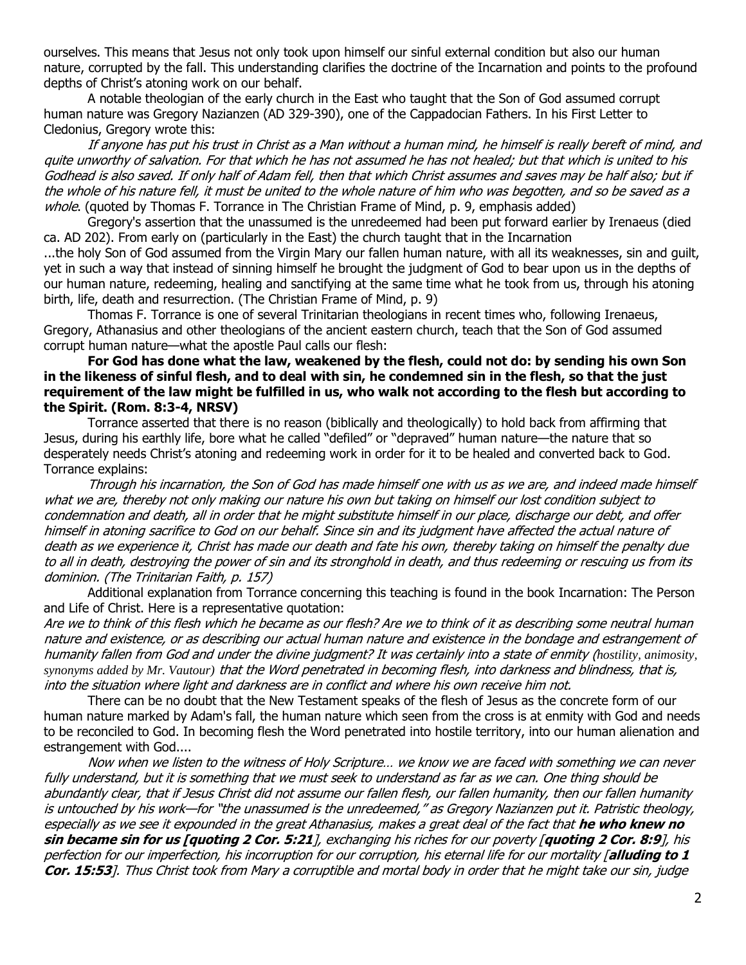ourselves. This means that Jesus not only took upon himself our sinful external condition but also our human nature, corrupted by the fall. This understanding clarifies the doctrine of the Incarnation and points to the profound depths of Christ's atoning work on our behalf.

A notable theologian of the early church in the East who taught that the Son of God assumed corrupt human nature was Gregory Nazianzen (AD 329-390), one of the Cappadocian Fathers. In his First Letter to Cledonius, Gregory wrote this:

If anyone has put his trust in Christ as a Man without a human mind, he himself is really bereft of mind, and quite unworthy of salvation. For that which he has not assumed he has not healed; but that which is united to his Godhead is also saved. If only half of Adam fell, then that which Christ assumes and saves may be half also; but if the whole of his nature fell, it must be united to the whole nature of him who was begotten, and so be saved as a whole. (quoted by Thomas F. Torrance in The Christian Frame of Mind, p. 9, emphasis added)

Gregory's assertion that the unassumed is the unredeemed had been put forward earlier by Irenaeus (died ca. AD 202). From early on (particularly in the East) the church taught that in the Incarnation

...the holy Son of God assumed from the Virgin Mary our fallen human nature, with all its weaknesses, sin and guilt, yet in such a way that instead of sinning himself he brought the judgment of God to bear upon us in the depths of our human nature, redeeming, healing and sanctifying at the same time what he took from us, through his atoning birth, life, death and resurrection. (The Christian Frame of Mind, p. 9)

Thomas F. Torrance is one of several Trinitarian theologians in recent times who, following Irenaeus, Gregory, Athanasius and other theologians of the ancient eastern church, teach that the Son of God assumed corrupt human nature—what the apostle Paul calls our flesh:

#### **For God has done what the law, weakened by the flesh, could not do: by sending his own Son in the likeness of sinful flesh, and to deal with sin, he condemned sin in the flesh, so that the just requirement of the law might be fulfilled in us, who walk not according to the flesh but according to the Spirit. (Rom. 8:3-4, NRSV)**

Torrance asserted that there is no reason (biblically and theologically) to hold back from affirming that Jesus, during his earthly life, bore what he called "defiled" or "depraved" human nature—the nature that so desperately needs Christ's atoning and redeeming work in order for it to be healed and converted back to God. Torrance explains:

Through his incarnation, the Son of God has made himself one with us as we are, and indeed made himself what we are, thereby not only making our nature his own but taking on himself our lost condition subject to condemnation and death, all in order that he might substitute himself in our place, discharge our debt, and offer himself in atoning sacrifice to God on our behalf. Since sin and its judgment have affected the actual nature of death as we experience it, Christ has made our death and fate his own, thereby taking on himself the penalty due to all in death, destroying the power of sin and its stronghold in death, and thus redeeming or rescuing us from its dominion. (The Trinitarian Faith, p. 157)

Additional explanation from Torrance concerning this teaching is found in the book Incarnation: The Person and Life of Christ. Here is a representative quotation:

Are we to think of this flesh which he became as our flesh? Are we to think of it as describing some neutral human nature and existence, or as describing our actual human nature and existence in the bondage and estrangement of humanity fallen from God and under the divine judgment? It was certainly into a state of enmity (*hostility, animosity, synonyms added by Mr. Vautour)* that the Word penetrated in becoming flesh, into darkness and blindness, that is, into the situation where light and darkness are in conflict and where his own receive him not.

There can be no doubt that the New Testament speaks of the flesh of Jesus as the concrete form of our human nature marked by Adam's fall, the human nature which seen from the cross is at enmity with God and needs to be reconciled to God. In becoming flesh the Word penetrated into hostile territory, into our human alienation and estrangement with God....

Now when we listen to the witness of Holy Scripture… we know we are faced with something we can never fully understand, but it is something that we must seek to understand as far as we can. One thing should be abundantly clear, that if Jesus Christ did not assume our fallen flesh, our fallen humanity, then our fallen humanity is untouched by his work—for "the unassumed is the unredeemed," as Gregory Nazianzen put it. Patristic theology, especially as we see it expounded in the great Athanasius, makes a great deal of the fact that **he who knew no sin became sin for us [quoting 2 Cor. 5:21**], exchanging his riches for our poverty [**quoting 2 Cor. 8:9**], his perfection for our imperfection, his incorruption for our corruption, his eternal life for our mortality [**alluding to 1 Cor. 15:53**]. Thus Christ took from Mary a corruptible and mortal body in order that he might take our sin, judge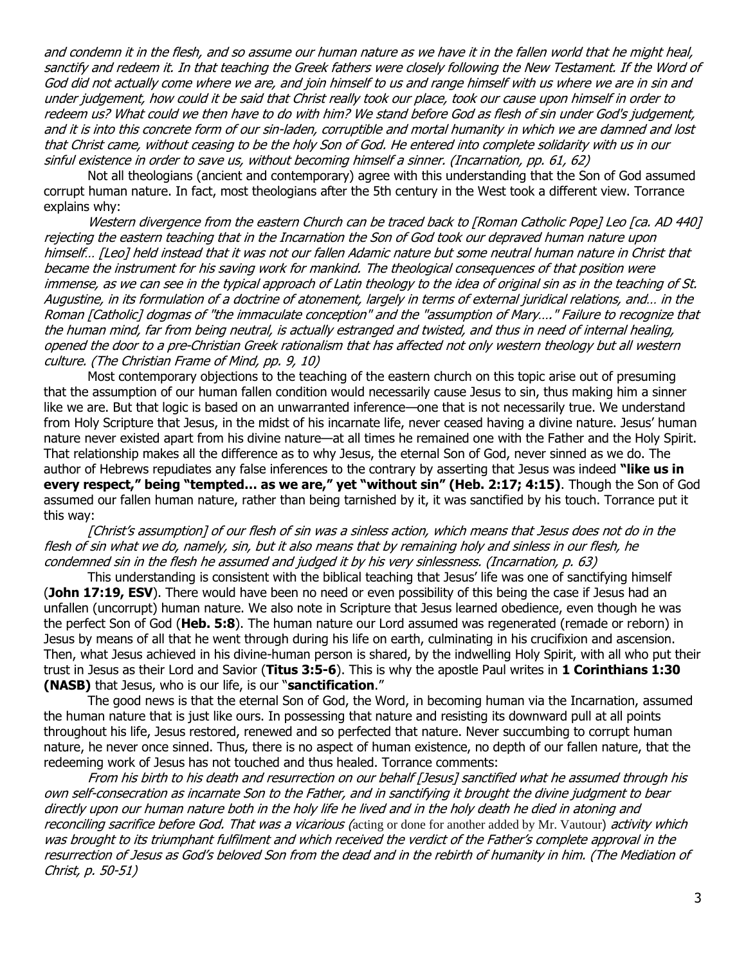and condemn it in the flesh, and so assume our human nature as we have it in the fallen world that he might heal, sanctify and redeem it. In that teaching the Greek fathers were closely following the New Testament. If the Word of God did not actually come where we are, and join himself to us and range himself with us where we are in sin and under judgement, how could it be said that Christ really took our place, took our cause upon himself in order to redeem us? What could we then have to do with him? We stand before God as flesh of sin under God's judgement, and it is into this concrete form of our sin-laden, corruptible and mortal humanity in which we are damned and lost that Christ came, without ceasing to be the holy Son of God. He entered into complete solidarity with us in our sinful existence in order to save us, without becoming himself a sinner. (Incarnation, pp. 61, 62)

Not all theologians (ancient and contemporary) agree with this understanding that the Son of God assumed corrupt human nature. In fact, most theologians after the 5th century in the West took a different view. Torrance explains why:

Western divergence from the eastern Church can be traced back to [Roman Catholic Pope] Leo [ca. AD 440] rejecting the eastern teaching that in the Incarnation the Son of God took our depraved human nature upon himself… [Leo] held instead that it was not our fallen Adamic nature but some neutral human nature in Christ that became the instrument for his saving work for mankind. The theological consequences of that position were immense, as we can see in the typical approach of Latin theology to the idea of original sin as in the teaching of St. Augustine, in its formulation of a doctrine of atonement, largely in terms of external juridical relations, and… in the Roman [Catholic] dogmas of "the immaculate conception" and the "assumption of Mary…." Failure to recognize that the human mind, far from being neutral, is actually estranged and twisted, and thus in need of internal healing, opened the door to a pre-Christian Greek rationalism that has affected not only western theology but all western culture. (The Christian Frame of Mind, pp. 9, 10)

Most contemporary objections to the teaching of the eastern church on this topic arise out of presuming that the assumption of our human fallen condition would necessarily cause Jesus to sin, thus making him a sinner like we are. But that logic is based on an unwarranted inference—one that is not necessarily true. We understand from Holy Scripture that Jesus, in the midst of his incarnate life, never ceased having a divine nature. Jesus' human nature never existed apart from his divine nature—at all times he remained one with the Father and the Holy Spirit. That relationship makes all the difference as to why Jesus, the eternal Son of God, never sinned as we do. The author of Hebrews repudiates any false inferences to the contrary by asserting that Jesus was indeed **"like us in every respect," being "tempted… as we are," yet "without sin" (Heb. 2:17; 4:15)**. Though the Son of God assumed our fallen human nature, rather than being tarnished by it, it was sanctified by his touch. Torrance put it this way:

[Christ's assumption] of our flesh of sin was a sinless action, which means that Jesus does not do in the flesh of sin what we do, namely, sin, but it also means that by remaining holy and sinless in our flesh, he condemned sin in the flesh he assumed and judged it by his very sinlessness. (Incarnation, p. 63)

This understanding is consistent with the biblical teaching that Jesus' life was one of sanctifying himself (**John 17:19, ESV**). There would have been no need or even possibility of this being the case if Jesus had an unfallen (uncorrupt) human nature. We also note in Scripture that Jesus learned obedience, even though he was the perfect Son of God (**Heb. 5:8**). The human nature our Lord assumed was regenerated (remade or reborn) in Jesus by means of all that he went through during his life on earth, culminating in his crucifixion and ascension. Then, what Jesus achieved in his divine-human person is shared, by the indwelling Holy Spirit, with all who put their trust in Jesus as their Lord and Savior (**Titus 3:5-6**). This is why the apostle Paul writes in **1 Corinthians 1:30 (NASB)** that Jesus, who is our life, is our "**sanctification**."

The good news is that the eternal Son of God, the Word, in becoming human via the Incarnation, assumed the human nature that is just like ours. In possessing that nature and resisting its downward pull at all points throughout his life, Jesus restored, renewed and so perfected that nature. Never succumbing to corrupt human nature, he never once sinned. Thus, there is no aspect of human existence, no depth of our fallen nature, that the redeeming work of Jesus has not touched and thus healed. Torrance comments:

From his birth to his death and resurrection on our behalf [Jesus] sanctified what he assumed through his own self-consecration as incarnate Son to the Father, and in sanctifying it brought the divine judgment to bear directly upon our human nature both in the holy life he lived and in the holy death he died in atoning and reconciling sacrifice before God. That was a vicarious (acting or done for another added by Mr. Vautour) activity which was brought to its triumphant fulfilment and which received the verdict of the Father's complete approval in the resurrection of Jesus as God's beloved Son from the dead and in the rebirth of humanity in him. (The Mediation of Christ, p. 50-51)